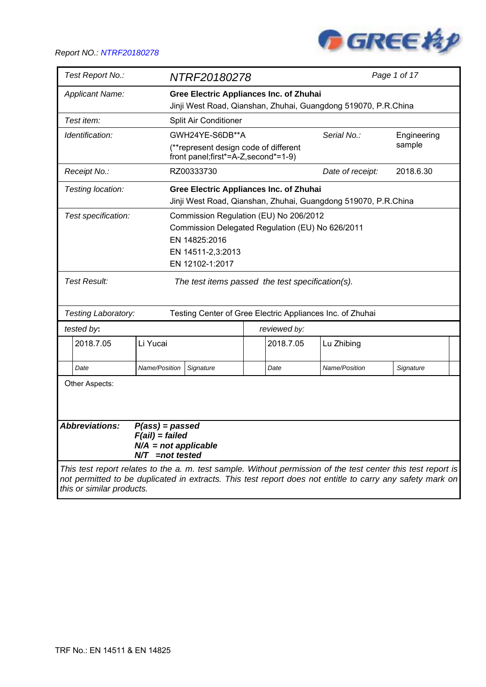

| Test Report No.:                        |                                                                 | NTRF20180278          |                                                                               |                                                                | Page 1 of 17                                                                                                                                                                                                              |
|-----------------------------------------|-----------------------------------------------------------------|-----------------------|-------------------------------------------------------------------------------|----------------------------------------------------------------|---------------------------------------------------------------------------------------------------------------------------------------------------------------------------------------------------------------------------|
| <b>Applicant Name:</b>                  |                                                                 |                       | <b>Gree Electric Appliances Inc. of Zhuhai</b>                                | Jinji West Road, Qianshan, Zhuhai, Guangdong 519070, P.R.China |                                                                                                                                                                                                                           |
| Test item:                              |                                                                 | Split Air Conditioner |                                                                               |                                                                |                                                                                                                                                                                                                           |
|                                         |                                                                 |                       |                                                                               |                                                                |                                                                                                                                                                                                                           |
| Identification:                         |                                                                 | GWH24YE-S6DB**A       |                                                                               | Serial No.:                                                    | Engineering<br>sample                                                                                                                                                                                                     |
|                                         |                                                                 |                       | (**represent design code of different<br>front panel;first*=A-Z, second*=1-9) |                                                                |                                                                                                                                                                                                                           |
| Receipt No.:                            |                                                                 | RZ00333730            |                                                                               | Date of receipt:                                               | 2018.6.30                                                                                                                                                                                                                 |
| Testing location:                       |                                                                 |                       | <b>Gree Electric Appliances Inc. of Zhuhai</b>                                |                                                                |                                                                                                                                                                                                                           |
|                                         |                                                                 |                       |                                                                               | Jinji West Road, Qianshan, Zhuhai, Guangdong 519070, P.R.China |                                                                                                                                                                                                                           |
| Test specification:                     |                                                                 |                       | Commission Regulation (EU) No 206/2012                                        |                                                                |                                                                                                                                                                                                                           |
|                                         |                                                                 |                       | Commission Delegated Regulation (EU) No 626/2011                              |                                                                |                                                                                                                                                                                                                           |
|                                         |                                                                 | EN 14825:2016         |                                                                               |                                                                |                                                                                                                                                                                                                           |
|                                         |                                                                 | EN 14511-2,3:2013     |                                                                               |                                                                |                                                                                                                                                                                                                           |
|                                         |                                                                 | EN 12102-1:2017       |                                                                               |                                                                |                                                                                                                                                                                                                           |
| <b>Test Result:</b>                     |                                                                 |                       | The test items passed the test specification(s).                              |                                                                |                                                                                                                                                                                                                           |
|                                         |                                                                 |                       |                                                                               |                                                                |                                                                                                                                                                                                                           |
| Testing Laboratory:                     |                                                                 |                       | Testing Center of Gree Electric Appliances Inc. of Zhuhai                     |                                                                |                                                                                                                                                                                                                           |
| tested by:                              |                                                                 |                       | reviewed by:                                                                  |                                                                |                                                                                                                                                                                                                           |
| 2018.7.05                               | Li Yucai                                                        |                       | 2018.7.05                                                                     | Lu Zhibing                                                     |                                                                                                                                                                                                                           |
| Date                                    | Name/Position                                                   | Signature             | Date                                                                          | Name/Position                                                  | Signature                                                                                                                                                                                                                 |
| Other Aspects:<br><b>Abbreviations:</b> | $P(ass) = passed$                                               |                       |                                                                               |                                                                |                                                                                                                                                                                                                           |
|                                         | $F(ai)$ = failed<br>$N/A$ = not applicable<br>$N/T$ =not tested |                       |                                                                               |                                                                |                                                                                                                                                                                                                           |
| this or similar products.               |                                                                 |                       |                                                                               |                                                                | This test report relates to the a. m. test sample. Without permission of the test center this test report is<br>not permitted to be duplicated in extracts. This test report does not entitle to carry any safety mark on |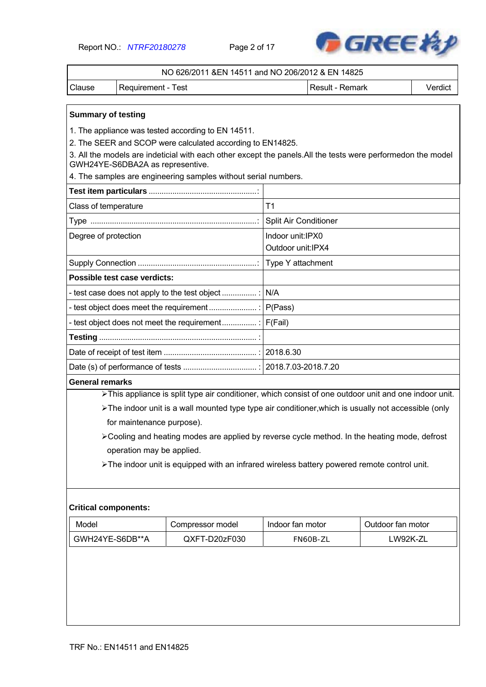Report NO.: *NTRF20180278* Page 2 of 17



|        | NO 626/2011 & EN 14511 and NO 206/2012 & EN 14825 |                 |         |
|--------|---------------------------------------------------|-----------------|---------|
| Clause | l Requirement - Test                              | Result - Remark | Verdict |

#### **Summary of testing**

1. The appliance was tested according to EN 14511.

2. The SEER and SCOP were calculated according to EN14825.

3. All the models are indeticial with each other except the panels.All the tests were performedon the model GWH24YE-S6DBA2A as representive.

4. The samples are engineering samples without serial numbers.

| Class of temperature         | T1                                     |
|------------------------------|----------------------------------------|
|                              | Split Air Conditioner                  |
| Degree of protection         | Indoor unit:IPX0<br>Outdoor unit: IPX4 |
|                              |                                        |
| Possible test case verdicts: |                                        |
|                              |                                        |
|                              |                                        |
|                              |                                        |
|                              |                                        |
|                              |                                        |
|                              |                                        |

#### **General remarks**

> This appliance is split type air conditioner, which consist of one outdoor unit and one indoor unit.

> The indoor unit is a wall mounted type type air conditioner, which is usually not accessible (only for maintenance purpose).

Cooling and heating modes are applied by reverse cycle method. In the heating mode, defrost operation may be applied.

The indoor unit is equipped with an infrared wireless battery powered remote control unit.

#### **Critical components:**

| Model           | Compressor model | Indoor fan motor | Outdoor fan motor |
|-----------------|------------------|------------------|-------------------|
| GWH24YE-S6DB**A | QXFT-D20zF030    | FN60B-ZL         | .W92K-ZL          |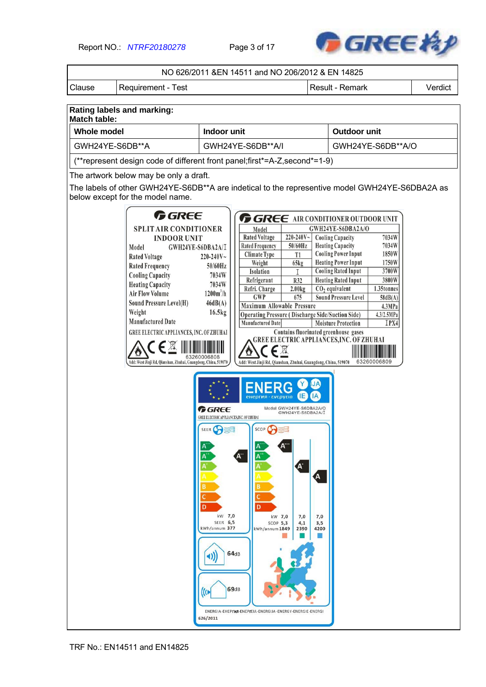Report NO.: *NTRF20180278* Page 3 of 17



|                                                   |                                                                                                                                                                                                                                                                                                                                                                                                                         |                                                                                    | NO 626/2011 &EN 14511 and NO 206/2012 & EN 14825                                                                                                                                                                                                                                                                                                                                                                           |                         |                                                                                                                                                                                                                                                                                                                                                                                                                                                                                                                                         |         |
|---------------------------------------------------|-------------------------------------------------------------------------------------------------------------------------------------------------------------------------------------------------------------------------------------------------------------------------------------------------------------------------------------------------------------------------------------------------------------------------|------------------------------------------------------------------------------------|----------------------------------------------------------------------------------------------------------------------------------------------------------------------------------------------------------------------------------------------------------------------------------------------------------------------------------------------------------------------------------------------------------------------------|-------------------------|-----------------------------------------------------------------------------------------------------------------------------------------------------------------------------------------------------------------------------------------------------------------------------------------------------------------------------------------------------------------------------------------------------------------------------------------------------------------------------------------------------------------------------------------|---------|
| Clause                                            | <b>Requirement - Test</b>                                                                                                                                                                                                                                                                                                                                                                                               |                                                                                    |                                                                                                                                                                                                                                                                                                                                                                                                                            |                         | Result - Remark                                                                                                                                                                                                                                                                                                                                                                                                                                                                                                                         | Verdict |
|                                                   |                                                                                                                                                                                                                                                                                                                                                                                                                         |                                                                                    |                                                                                                                                                                                                                                                                                                                                                                                                                            |                         |                                                                                                                                                                                                                                                                                                                                                                                                                                                                                                                                         |         |
| Rating labels and marking:<br><b>Match table:</b> |                                                                                                                                                                                                                                                                                                                                                                                                                         |                                                                                    |                                                                                                                                                                                                                                                                                                                                                                                                                            |                         |                                                                                                                                                                                                                                                                                                                                                                                                                                                                                                                                         |         |
| <b>Whole model</b>                                |                                                                                                                                                                                                                                                                                                                                                                                                                         | Indoor unit                                                                        |                                                                                                                                                                                                                                                                                                                                                                                                                            |                         | Outdoor unit                                                                                                                                                                                                                                                                                                                                                                                                                                                                                                                            |         |
| GWH24YE-S6DB**A                                   |                                                                                                                                                                                                                                                                                                                                                                                                                         |                                                                                    | GWH24YE-S6DB**A/I                                                                                                                                                                                                                                                                                                                                                                                                          |                         | GWH24YE-S6DB**A/O                                                                                                                                                                                                                                                                                                                                                                                                                                                                                                                       |         |
|                                                   | (**represent design code of different front panel;first*=A-Z, second*=1-9)                                                                                                                                                                                                                                                                                                                                              |                                                                                    |                                                                                                                                                                                                                                                                                                                                                                                                                            |                         |                                                                                                                                                                                                                                                                                                                                                                                                                                                                                                                                         |         |
|                                                   | The artwork below may be only a draft.                                                                                                                                                                                                                                                                                                                                                                                  |                                                                                    |                                                                                                                                                                                                                                                                                                                                                                                                                            |                         |                                                                                                                                                                                                                                                                                                                                                                                                                                                                                                                                         |         |
|                                                   | below except for the model name.                                                                                                                                                                                                                                                                                                                                                                                        |                                                                                    |                                                                                                                                                                                                                                                                                                                                                                                                                            |                         | The labels of other GWH24YE-S6DB**A are indetical to the representive model GWH24YE-S6DBA2A as                                                                                                                                                                                                                                                                                                                                                                                                                                          |         |
|                                                   | <b>GREE</b><br><b>SPLIT AIR CONDITIONER</b><br><b>INDOOR UNIT</b><br>Model<br>GWH24YE-S6DBA2A/I<br><b>Rated Voltage</b><br><b>Rated Frequency</b><br><b>Cooling Capacity</b><br><b>Heating Capacity</b><br><b>Air Flow Volume</b><br><b>Sound Pressure Level(H)</b><br>Weight<br><b>Manufactured Date</b><br>GREE ELECTRIC APPLIANCES, INC. OF ZHUHAI<br>Add: West Jinji Rd, Qianshan, Zhuhai, Guangdong, China, 519070 | $220 - 240V -$<br>$50/60$ Hz<br>7034W<br>7034W<br>$1200m^3/h$<br>46dB(A)<br>16.5kg | Model<br><b>Rated Voltage</b><br>220-240V~<br><b>Rated Frequency</b><br>50/60Hz<br><b>Climate Type</b><br>T <sub>1</sub><br>65kg<br>Weight<br>Isolation<br>Refrigerant<br>R32<br>2.00kg<br>Refri. Charge<br><b>GWP</b><br>675<br><b>Maximum Allowable Pressure</b><br><b>Operating Pressure (Discharge Side/Suction Side)</b><br>Manufactured Date<br>∈図<br>Add: West Jinji Rd, Qianshan, Zhuhai, Guangdong, China, 519070 |                         | <b>GREE</b> AIR CONDITIONER OUTDOOR UNIT<br>GWH24YE-S6DBA2A/O<br><b>Cooling Capacity</b><br>7034W<br>7034W<br><b>Heating Capacity</b><br><b>Cooling Power Input</b><br>1850W<br><b>Heating Power Input</b><br>1750W<br><b>Cooling Rated Input</b><br>3700W<br><b>Heating Rated Input</b><br>3800W<br>1.35tonnes<br>$CO2$ equivalent<br><b>Sound Pressure Level</b><br>58dB(A)<br>4.3MPa<br>4.3/2.5MPa<br><b>Moisture Protection</b><br>IPX4<br>Contains fluorinated greenhouse gases<br><b>GREE ELECTRIC APPLIANCES, INC. OF ZHUHAI</b> |         |
|                                                   |                                                                                                                                                                                                                                                                                                                                                                                                                         | <b>G</b> REE<br>GREE ELECTRIC APPLIANCES, INC. OF ZHUHAI                           | Model GWH24YE-S6DBA2A/O<br>GWH24YE-S6DBA2A/I                                                                                                                                                                                                                                                                                                                                                                               |                         |                                                                                                                                                                                                                                                                                                                                                                                                                                                                                                                                         |         |
|                                                   |                                                                                                                                                                                                                                                                                                                                                                                                                         | SEER (<br>D<br>kW 7,0<br><b>SEER 6,5</b><br>kWh/annum 377<br>4))<br>Ю<br>626/2011  | SCOP <sup>C</sup><br>A"<br>$\mathsf{A}^{\cdot}$<br>c<br>D<br>kW 7,0<br>7,0<br>$SCOP$ 5,3<br>4,1<br>kWh/annum 1849<br>2390<br>64dB<br>69dB<br>ENERGIA - EHEPTIA - ENEPTEIA - ENERGIJA - ENERGY - ENERGIE - ENERGI                                                                                                                                                                                                           | A<br>7,0<br>3,5<br>4200 |                                                                                                                                                                                                                                                                                                                                                                                                                                                                                                                                         |         |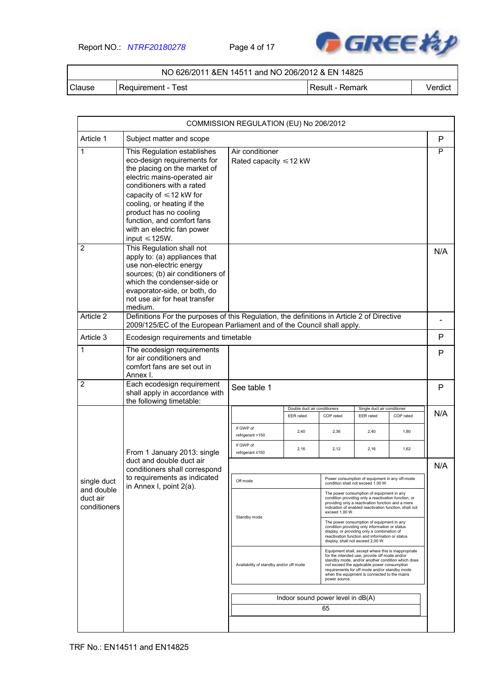Report NO.: *NTRF20180278* Page 4 of 17



### NO 626/2011 &EN 14511 and NO 206/2012 & EN 14825

Clause | Requirement - Test | Next | Result - Remark | Verdict

|                                        |                                                                                                                                                                                                                                                                                                                                    | COMMISSION REGULATION (EU) No 206/2012                                                           |                                           |                |                                                                                                                                                                                                                                                                                                           |           |     |  |
|----------------------------------------|------------------------------------------------------------------------------------------------------------------------------------------------------------------------------------------------------------------------------------------------------------------------------------------------------------------------------------|--------------------------------------------------------------------------------------------------|-------------------------------------------|----------------|-----------------------------------------------------------------------------------------------------------------------------------------------------------------------------------------------------------------------------------------------------------------------------------------------------------|-----------|-----|--|
| Article 1                              | Subject matter and scope                                                                                                                                                                                                                                                                                                           |                                                                                                  |                                           |                |                                                                                                                                                                                                                                                                                                           |           | P   |  |
| 1                                      | This Regulation establishes<br>eco-design requirements for<br>the placing on the market of<br>electric mains-operated air<br>conditioners with a rated<br>capacity of $\leq 12$ kW for<br>cooling, or heating if the<br>product has no cooling<br>function, and comfort fans<br>with an electric fan power<br>input $\leq 125W$ .  | Air conditioner<br>Rated capacity $\leq 12$ kW                                                   |                                           |                |                                                                                                                                                                                                                                                                                                           |           | P   |  |
| $\overline{2}$<br>Article 2            | This Regulation shall not<br>apply to: (a) appliances that<br>use non-electric energy<br>sources; (b) air conditioners of<br>which the condenser-side or<br>evaporator-side, or both, do<br>not use air for heat transfer<br>medium.<br>Definitions For the purposes of this Regulation, the definitions in Article 2 of Directive |                                                                                                  |                                           |                |                                                                                                                                                                                                                                                                                                           |           | N/A |  |
|                                        | 2009/125/EC of the European Parliament and of the Council shall apply.                                                                                                                                                                                                                                                             |                                                                                                  |                                           |                |                                                                                                                                                                                                                                                                                                           |           |     |  |
| Article 3                              | Ecodesign requirements and timetable                                                                                                                                                                                                                                                                                               |                                                                                                  |                                           |                |                                                                                                                                                                                                                                                                                                           |           | P   |  |
| 1                                      | The ecodesign requirements<br>for air conditioners and<br>comfort fans are set out in<br>Annex I.                                                                                                                                                                                                                                  |                                                                                                  |                                           |                |                                                                                                                                                                                                                                                                                                           |           |     |  |
| $\overline{2}$                         | Each ecodesign requirement<br>shall apply in accordance with<br>the following timetable:                                                                                                                                                                                                                                           | See table 1                                                                                      |                                           |                |                                                                                                                                                                                                                                                                                                           |           | P   |  |
|                                        |                                                                                                                                                                                                                                                                                                                                    |                                                                                                  | Double duct air conditioners<br>EER rated | COP rated      | Single duct air conditioner<br><b>EER</b> rated                                                                                                                                                                                                                                                           | COP rated | N/A |  |
|                                        |                                                                                                                                                                                                                                                                                                                                    | If GWP of<br>refrigerant >150                                                                    | 2,40                                      | 2,36           | 2,40                                                                                                                                                                                                                                                                                                      | 1,80      |     |  |
|                                        | From 1 January 2013: single                                                                                                                                                                                                                                                                                                        | If GWP of<br>refrigerant ≤150                                                                    | 2,16                                      | 2,12           | 2,16                                                                                                                                                                                                                                                                                                      | 1,62      |     |  |
|                                        | duct and double duct air<br>conditioners shall correspond                                                                                                                                                                                                                                                                          |                                                                                                  |                                           |                |                                                                                                                                                                                                                                                                                                           |           |     |  |
| single duct                            | to requirements as indicated                                                                                                                                                                                                                                                                                                       | Power consumption of equipment in any off-mode<br>Off mode<br>condition shall not exceed 1,00 W. |                                           |                |                                                                                                                                                                                                                                                                                                           |           |     |  |
| and double<br>duct air<br>conditioners | in Annex I, point 2(a).                                                                                                                                                                                                                                                                                                            |                                                                                                  |                                           | exceed 1,00 W. | The power consumption of equipment in any<br>condition providing only a reactivation function, or<br>providing only a reactivation function and a mere<br>indication of enabled reactivation function, shall not                                                                                          |           |     |  |
|                                        |                                                                                                                                                                                                                                                                                                                                    | Standby mode                                                                                     |                                           |                | The power consumption of equipment in any<br>condition providing only information or status<br>display, or providing only a combination of<br>reactivation function and information or status<br>display, shall not exceed 2,00 W.                                                                        |           |     |  |
|                                        |                                                                                                                                                                                                                                                                                                                                    | Availability of standby and/or off mode                                                          |                                           | power source.  | Equipment shall, except where this is inappropriate<br>for the intended use, provide off mode and/or<br>standby mode, and/or another condition which does<br>not exceed the applicable power consumption<br>requirements for off mode and/or standby mode<br>when the equipment is connected to the mains |           |     |  |
|                                        |                                                                                                                                                                                                                                                                                                                                    |                                                                                                  | Indoor sound power level in dB(A)         |                |                                                                                                                                                                                                                                                                                                           |           |     |  |
|                                        |                                                                                                                                                                                                                                                                                                                                    |                                                                                                  |                                           | 65             |                                                                                                                                                                                                                                                                                                           |           |     |  |
|                                        |                                                                                                                                                                                                                                                                                                                                    |                                                                                                  |                                           |                |                                                                                                                                                                                                                                                                                                           |           |     |  |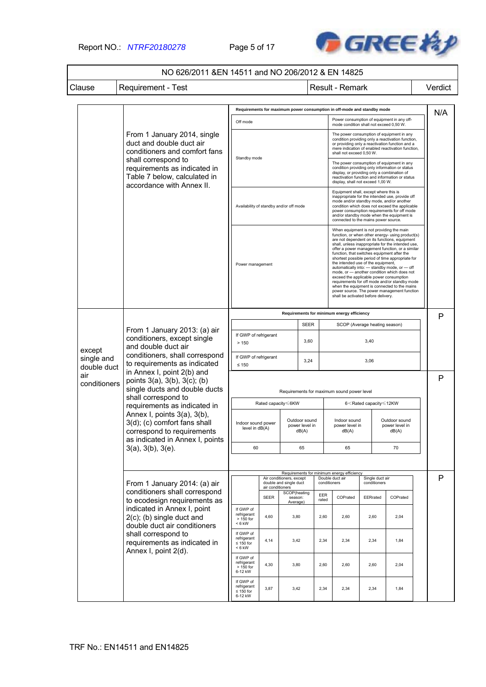Report NO.: *NTRF20180278* Page 5 of 17



### NO 626/2011 &EN 14511 and NO 206/2012 & EN 14825

Clause | Requirement - Test | Next | Result - Remark | Verdict

|                           |                                                                                                                                                                                                                                | Requirements for maximum power consumption in off-mode and standby mode          |                  |                                                    |                                         |                                 |                                                                                                                                                                                                                                                                                                                                                                                                                                                                                                                                                                                                                                                                                                                                 |                                 |                                                 | N/A |   |
|---------------------------|--------------------------------------------------------------------------------------------------------------------------------------------------------------------------------------------------------------------------------|----------------------------------------------------------------------------------|------------------|----------------------------------------------------|-----------------------------------------|---------------------------------|---------------------------------------------------------------------------------------------------------------------------------------------------------------------------------------------------------------------------------------------------------------------------------------------------------------------------------------------------------------------------------------------------------------------------------------------------------------------------------------------------------------------------------------------------------------------------------------------------------------------------------------------------------------------------------------------------------------------------------|---------------------------------|-------------------------------------------------|-----|---|
|                           |                                                                                                                                                                                                                                | Off mode                                                                         |                  |                                                    |                                         |                                 | mode condition shall not exceed 0,50 W.                                                                                                                                                                                                                                                                                                                                                                                                                                                                                                                                                                                                                                                                                         |                                 | Power consumption of equipment in any off-      |     |   |
|                           | From 1 January 2014, single<br>duct and double duct air<br>conditioners and comfort fans<br>shall correspond to<br>requirements as indicated in                                                                                | Standby mode                                                                     |                  |                                                    |                                         |                                 | The power consumption of equipment in any<br>condition providing only a reactivation function,<br>or providing only a reactivation function and a<br>mere indication of enabled reactivation function,<br>shall not exceed 0.50 W.<br>The power consumption of equipment in any<br>condition providing only information or status                                                                                                                                                                                                                                                                                                                                                                                               |                                 |                                                 |     |   |
|                           | Table 7 below, calculated in<br>accordance with Annex II.                                                                                                                                                                      |                                                                                  |                  |                                                    |                                         |                                 | display, or providing only a combination of<br>display, shall not exceed 1,00 W.                                                                                                                                                                                                                                                                                                                                                                                                                                                                                                                                                                                                                                                |                                 | reactivation function and information or status |     |   |
|                           |                                                                                                                                                                                                                                | Availability of standby and/or off mode                                          |                  |                                                    |                                         |                                 | Equipment shall, except where this is<br>inappropriate for the intended use, provide off<br>mode and/or standby mode, and/or another<br>condition which does not exceed the applicable<br>power consumption requirements for off mode<br>and/or standby mode when the equipment is<br>connected to the mains power source.                                                                                                                                                                                                                                                                                                                                                                                                      |                                 |                                                 |     |   |
|                           |                                                                                                                                                                                                                                | Power management                                                                 |                  |                                                    |                                         |                                 | When equipment is not providing the main<br>function, or when other energy- using product(s)<br>are not dependent on its functions, equipment<br>shall, unless inappropriate for the intended use,<br>offer a power management function, or a similar<br>function, that switches equipment after the<br>shortest possible period of time appropriate for<br>the intended use of the equipment,<br>automatically into: - standby mode, or - off<br>mode, or - another condition which does not<br>exceed the applicable power consumption<br>requirements for off mode and/or standby mode<br>when the equipment is connected to the mains<br>power source. The power management function<br>shall be activated before delivery. |                                 |                                                 |     |   |
|                           |                                                                                                                                                                                                                                | Requirements for minimum energy efficiency                                       |                  |                                                    |                                         |                                 |                                                                                                                                                                                                                                                                                                                                                                                                                                                                                                                                                                                                                                                                                                                                 |                                 |                                                 |     | P |
|                           | From 1 January 2013: (a) air                                                                                                                                                                                                   | <b>SEER</b><br>If GWP of refrigerant                                             |                  |                                                    |                                         |                                 |                                                                                                                                                                                                                                                                                                                                                                                                                                                                                                                                                                                                                                                                                                                                 | SCOP (Average heating season)   |                                                 |     |   |
| except                    | conditioners, except single<br>and double duct air<br>conditioners, shall correspond<br>to requirements as indicated<br>in Annex I, point 2(b) and<br>points $3(a)$ , $3(b)$ , $3(c)$ ; $(b)$<br>single ducts and double ducts | 3,60<br>> 150                                                                    |                  |                                                    |                                         | 3,40                            |                                                                                                                                                                                                                                                                                                                                                                                                                                                                                                                                                                                                                                                                                                                                 |                                 |                                                 |     |   |
| single and<br>double duct |                                                                                                                                                                                                                                | If GWP of refrigerant<br>3,24<br>$\leq 150$                                      |                  |                                                    |                                         |                                 | 3,06                                                                                                                                                                                                                                                                                                                                                                                                                                                                                                                                                                                                                                                                                                                            |                                 |                                                 |     |   |
| air<br>conditioners       |                                                                                                                                                                                                                                | Requirements for maximum sound power level                                       |                  |                                                    |                                         |                                 |                                                                                                                                                                                                                                                                                                                                                                                                                                                                                                                                                                                                                                                                                                                                 |                                 |                                                 | P   |   |
|                           | shall correspond to<br>requirements as indicated in                                                                                                                                                                            | Rated capacity <6KW                                                              |                  |                                                    |                                         |                                 | 6 <rated capacity≤12kw<="" td=""><td></td><td></td></rated>                                                                                                                                                                                                                                                                                                                                                                                                                                                                                                                                                                                                                                                                     |                                 |                                                 |     |   |
|                           | Annex I, points 3(a), 3(b),<br>3(d); (c) comfort fans shall<br>correspond to requirements<br>as indicated in Annex I, points                                                                                                   | Outdoor sound<br>Indoor sound power<br>power level in<br>level in dB(A)<br>dB(A) |                  |                                                    | Indoor sound<br>power level in<br>dB(A) |                                 | Outdoor sound<br>power level in<br>dB(A)                                                                                                                                                                                                                                                                                                                                                                                                                                                                                                                                                                                                                                                                                        |                                 |                                                 |     |   |
|                           | 3(a), 3(b), 3(e).                                                                                                                                                                                                              | 60                                                                               |                  |                                                    | 65                                      |                                 | 65                                                                                                                                                                                                                                                                                                                                                                                                                                                                                                                                                                                                                                                                                                                              |                                 | 70                                              |     |   |
|                           |                                                                                                                                                                                                                                |                                                                                  |                  |                                                    |                                         |                                 | Requirements for minimum energy efficiency                                                                                                                                                                                                                                                                                                                                                                                                                                                                                                                                                                                                                                                                                      |                                 |                                                 |     |   |
|                           | From 1 January 2014: (a) air                                                                                                                                                                                                   |                                                                                  | air conditioners | Air conditioners, except<br>double and single duct |                                         | Double duct air<br>conditioners |                                                                                                                                                                                                                                                                                                                                                                                                                                                                                                                                                                                                                                                                                                                                 | Single duct air<br>conditioners |                                                 |     | P |
|                           | conditioners shall correspond<br>to ecodesign requirements as                                                                                                                                                                  |                                                                                  | <b>SEER</b>      | SCOP(heating<br>season:<br>Average)                |                                         | EER<br>rated                    | COPrated                                                                                                                                                                                                                                                                                                                                                                                                                                                                                                                                                                                                                                                                                                                        | EERrated                        | COPrated                                        |     |   |
|                           | indicated in Annex I, point<br>$2(c)$ ; (b) single duct and<br>double duct air conditioners                                                                                                                                    | If GWP of<br>refrigerant<br>> 150 for<br>$< 6$ kW                                | 4,60             | 3,80                                               |                                         | 2,60                            | 2,60                                                                                                                                                                                                                                                                                                                                                                                                                                                                                                                                                                                                                                                                                                                            | 2,60                            | 2,04                                            |     |   |
|                           | shall correspond to<br>requirements as indicated in<br>Annex I, point 2(d).                                                                                                                                                    | If GWP of<br>refrigerant<br>$\leq 150$ for<br>$< 6$ kW                           | 4,14             | 3,42                                               |                                         | 2,34                            | 2,34                                                                                                                                                                                                                                                                                                                                                                                                                                                                                                                                                                                                                                                                                                                            | 2,34                            | 1,84                                            |     |   |
|                           |                                                                                                                                                                                                                                | If GWP of<br>refrigerant<br>$>150$ for<br>6-12 kW                                | 4,30             | 3,80                                               |                                         | 2,60                            | 2,60                                                                                                                                                                                                                                                                                                                                                                                                                                                                                                                                                                                                                                                                                                                            | 2,60                            | 2,04                                            |     |   |
|                           |                                                                                                                                                                                                                                | If GWP of<br>refrigerant<br>$\leq$ 150 for<br>6-12 kW                            | 3,87             | 3,42                                               |                                         | 2,34                            | 2,34                                                                                                                                                                                                                                                                                                                                                                                                                                                                                                                                                                                                                                                                                                                            | 2,34                            | 1,84                                            |     |   |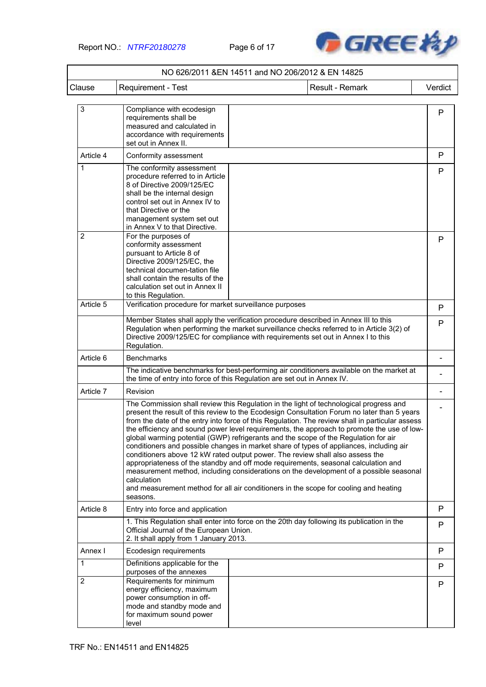

|                             |                                                                                                                                                                                                                                                                                                  | NO 626/2011 & EN 14511 and NO 206/2012 & EN 14825                                                                                                                                                                                                                                                                                                                                                                                                                                                                                                                                                                                                                                                                                                                                                                                                                                                                                 |         |
|-----------------------------|--------------------------------------------------------------------------------------------------------------------------------------------------------------------------------------------------------------------------------------------------------------------------------------------------|-----------------------------------------------------------------------------------------------------------------------------------------------------------------------------------------------------------------------------------------------------------------------------------------------------------------------------------------------------------------------------------------------------------------------------------------------------------------------------------------------------------------------------------------------------------------------------------------------------------------------------------------------------------------------------------------------------------------------------------------------------------------------------------------------------------------------------------------------------------------------------------------------------------------------------------|---------|
| Clause                      | <b>Requirement - Test</b>                                                                                                                                                                                                                                                                        | Result - Remark                                                                                                                                                                                                                                                                                                                                                                                                                                                                                                                                                                                                                                                                                                                                                                                                                                                                                                                   | Verdict |
| $\ensuremath{\mathsf{3}}$   | Compliance with ecodesign<br>requirements shall be<br>measured and calculated in<br>accordance with requirements<br>set out in Annex II.                                                                                                                                                         |                                                                                                                                                                                                                                                                                                                                                                                                                                                                                                                                                                                                                                                                                                                                                                                                                                                                                                                                   | P       |
| Article 4                   | Conformity assessment                                                                                                                                                                                                                                                                            |                                                                                                                                                                                                                                                                                                                                                                                                                                                                                                                                                                                                                                                                                                                                                                                                                                                                                                                                   | P       |
| 1                           | The conformity assessment<br>procedure referred to in Article<br>8 of Directive 2009/125/EC<br>shall be the internal design<br>control set out in Annex IV to<br>that Directive or the<br>management system set out<br>in Annex V to that Directive.                                             |                                                                                                                                                                                                                                                                                                                                                                                                                                                                                                                                                                                                                                                                                                                                                                                                                                                                                                                                   | P       |
| $\overline{2}$<br>Article 5 | For the purposes of<br>conformity assessment<br>pursuant to Article 8 of<br>Directive 2009/125/EC, the<br>technical documen-tation file<br>shall contain the results of the<br>calculation set out in Annex II<br>to this Regulation.<br>Verification procedure for market surveillance purposes |                                                                                                                                                                                                                                                                                                                                                                                                                                                                                                                                                                                                                                                                                                                                                                                                                                                                                                                                   | P       |
|                             |                                                                                                                                                                                                                                                                                                  | Member States shall apply the verification procedure described in Annex III to this                                                                                                                                                                                                                                                                                                                                                                                                                                                                                                                                                                                                                                                                                                                                                                                                                                               | P       |
|                             | Regulation.                                                                                                                                                                                                                                                                                      | Regulation when performing the market surveillance checks referred to in Article 3(2) of<br>Directive 2009/125/EC for compliance with requirements set out in Annex I to this                                                                                                                                                                                                                                                                                                                                                                                                                                                                                                                                                                                                                                                                                                                                                     | P       |
| Article 6                   | <b>Benchmarks</b>                                                                                                                                                                                                                                                                                |                                                                                                                                                                                                                                                                                                                                                                                                                                                                                                                                                                                                                                                                                                                                                                                                                                                                                                                                   |         |
|                             |                                                                                                                                                                                                                                                                                                  | The indicative benchmarks for best-performing air conditioners available on the market at<br>the time of entry into force of this Regulation are set out in Annex IV.                                                                                                                                                                                                                                                                                                                                                                                                                                                                                                                                                                                                                                                                                                                                                             |         |
| Article 7                   | Revision                                                                                                                                                                                                                                                                                         |                                                                                                                                                                                                                                                                                                                                                                                                                                                                                                                                                                                                                                                                                                                                                                                                                                                                                                                                   |         |
|                             | calculation<br>seasons.                                                                                                                                                                                                                                                                          | The Commission shall review this Regulation in the light of technological progress and<br>present the result of this review to the Ecodesign Consultation Forum no later than 5 years<br>from the date of the entry into force of this Regulation. The review shall in particular assess<br>the efficiency and sound power level requirements, the approach to promote the use of low-<br>global warming potential (GWP) refrigerants and the scope of the Regulation for air<br>conditioners and possible changes in market share of types of appliances, including air<br>conditioners above 12 kW rated output power. The review shall also assess the<br>appropriateness of the standby and off mode requirements, seasonal calculation and<br>measurement method, including considerations on the development of a possible seasonal<br>and measurement method for all air conditioners in the scope for cooling and heating |         |
| Article 8                   | Entry into force and application                                                                                                                                                                                                                                                                 |                                                                                                                                                                                                                                                                                                                                                                                                                                                                                                                                                                                                                                                                                                                                                                                                                                                                                                                                   | P       |
|                             | Official Journal of the European Union.<br>2. It shall apply from 1 January 2013.                                                                                                                                                                                                                | 1. This Regulation shall enter into force on the 20th day following its publication in the                                                                                                                                                                                                                                                                                                                                                                                                                                                                                                                                                                                                                                                                                                                                                                                                                                        | P       |
| Annex I                     | Ecodesign requirements                                                                                                                                                                                                                                                                           |                                                                                                                                                                                                                                                                                                                                                                                                                                                                                                                                                                                                                                                                                                                                                                                                                                                                                                                                   | P       |
| 1                           | Definitions applicable for the<br>purposes of the annexes                                                                                                                                                                                                                                        |                                                                                                                                                                                                                                                                                                                                                                                                                                                                                                                                                                                                                                                                                                                                                                                                                                                                                                                                   | P       |
| 2                           | Requirements for minimum<br>energy efficiency, maximum<br>power consumption in off-<br>mode and standby mode and<br>for maximum sound power<br>level                                                                                                                                             |                                                                                                                                                                                                                                                                                                                                                                                                                                                                                                                                                                                                                                                                                                                                                                                                                                                                                                                                   | P       |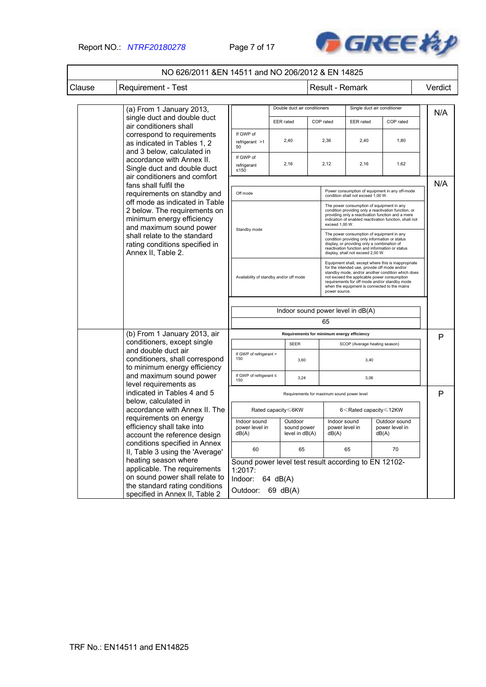

|        | NO 626/2011 & EN 14511 and NO 206/2012 & EN 14825                                                                                                                                                              |                                                                                                                                                                                                                                                    |                                                                                                                   |                                          |                                                                                                                                                                                                                                    |                                                                                                                                                                                                                                                                                                                            |                                                                     |                                          |         |  |
|--------|----------------------------------------------------------------------------------------------------------------------------------------------------------------------------------------------------------------|----------------------------------------------------------------------------------------------------------------------------------------------------------------------------------------------------------------------------------------------------|-------------------------------------------------------------------------------------------------------------------|------------------------------------------|------------------------------------------------------------------------------------------------------------------------------------------------------------------------------------------------------------------------------------|----------------------------------------------------------------------------------------------------------------------------------------------------------------------------------------------------------------------------------------------------------------------------------------------------------------------------|---------------------------------------------------------------------|------------------------------------------|---------|--|
| Clause | <b>Requirement - Test</b>                                                                                                                                                                                      |                                                                                                                                                                                                                                                    |                                                                                                                   |                                          |                                                                                                                                                                                                                                    | Result - Remark                                                                                                                                                                                                                                                                                                            |                                                                     |                                          | Verdict |  |
|        | (a) From 1 January 2013,                                                                                                                                                                                       |                                                                                                                                                                                                                                                    |                                                                                                                   | Double duct air conditioners             |                                                                                                                                                                                                                                    |                                                                                                                                                                                                                                                                                                                            | Single duct air conditioner                                         |                                          | N/A     |  |
|        | single duct and double duct<br>air conditioners shall                                                                                                                                                          |                                                                                                                                                                                                                                                    | <b>EER</b> rated                                                                                                  |                                          | COP rated                                                                                                                                                                                                                          |                                                                                                                                                                                                                                                                                                                            | <b>EER</b> rated                                                    | COP rated                                |         |  |
|        | correspond to requirements<br>as indicated in Tables 1, 2                                                                                                                                                      | If GWP of<br>$refriqerant$ >1<br>50                                                                                                                                                                                                                |                                                                                                                   | 2,40                                     |                                                                                                                                                                                                                                    | 2,36                                                                                                                                                                                                                                                                                                                       | 2,40                                                                | 1,80                                     |         |  |
|        | and 3 below, calculated in<br>accordance with Annex II.<br>Single duct and double duct<br>air conditioners and comfort                                                                                         | If GWP of<br>refrigerant<br>≤150                                                                                                                                                                                                                   |                                                                                                                   | 2,16                                     |                                                                                                                                                                                                                                    | 2,12                                                                                                                                                                                                                                                                                                                       | 2,16                                                                | 1,62                                     |         |  |
|        | fans shall fulfil the<br>requirements on standby and                                                                                                                                                           | Off mode                                                                                                                                                                                                                                           |                                                                                                                   |                                          | Power consumption of equipment in any off-mode<br>condition shall not exceed 1,00 W.                                                                                                                                               |                                                                                                                                                                                                                                                                                                                            |                                                                     |                                          | N/A     |  |
|        | off mode as indicated in Table<br>2 below. The requirements on<br>minimum energy efficiency<br>and maximum sound power<br>shall relate to the standard<br>rating conditions specified in<br>Annex II, Table 2. |                                                                                                                                                                                                                                                    |                                                                                                                   |                                          | The power consumption of equipment in any<br>condition providing only a reactivation function, or<br>providing only a reactivation function and a mere<br>indication of enabled reactivation function, shall not<br>exceed 1,00 W. |                                                                                                                                                                                                                                                                                                                            |                                                                     |                                          |         |  |
|        |                                                                                                                                                                                                                | Standby mode<br>The power consumption of equipment in any<br>condition providing only information or status<br>display, or providing only a combination of<br>reactivation function and information or status<br>display, shall not exceed 2,00 W. |                                                                                                                   |                                          |                                                                                                                                                                                                                                    |                                                                                                                                                                                                                                                                                                                            |                                                                     |                                          |         |  |
|        |                                                                                                                                                                                                                | Availability of standby and/or off mode                                                                                                                                                                                                            |                                                                                                                   |                                          |                                                                                                                                                                                                                                    | Equipment shall, except where this is inappropriate<br>for the intended use, provide off mode and/or<br>standby mode, and/or another condition which does<br>not exceed the applicable power consumption<br>requirements for off mode and/or standby mode<br>when the equipment is connected to the mains<br>power source. |                                                                     |                                          |         |  |
|        |                                                                                                                                                                                                                | Indoor sound power level in dB(A)                                                                                                                                                                                                                  |                                                                                                                   |                                          |                                                                                                                                                                                                                                    |                                                                                                                                                                                                                                                                                                                            |                                                                     |                                          |         |  |
|        |                                                                                                                                                                                                                |                                                                                                                                                                                                                                                    |                                                                                                                   |                                          | 65                                                                                                                                                                                                                                 |                                                                                                                                                                                                                                                                                                                            |                                                                     |                                          |         |  |
|        | (b) From 1 January 2013, air                                                                                                                                                                                   | Requirements for minimum energy efficiency                                                                                                                                                                                                         |                                                                                                                   |                                          |                                                                                                                                                                                                                                    |                                                                                                                                                                                                                                                                                                                            |                                                                     |                                          | P       |  |
|        | conditioners, except single<br>and double duct air                                                                                                                                                             |                                                                                                                                                                                                                                                    |                                                                                                                   | <b>SEER</b>                              |                                                                                                                                                                                                                                    |                                                                                                                                                                                                                                                                                                                            | SCOP (Average heating season)                                       |                                          |         |  |
|        | conditioners, shall correspond<br>to minimum energy efficiency                                                                                                                                                 | If GWP of refrigerant ><br>150                                                                                                                                                                                                                     |                                                                                                                   | 3,60                                     |                                                                                                                                                                                                                                    |                                                                                                                                                                                                                                                                                                                            | 3,40                                                                |                                          |         |  |
|        | and maximum sound power<br>level requirements as                                                                                                                                                               | If GWP of refrigerant ≤<br>150                                                                                                                                                                                                                     |                                                                                                                   | 3,24                                     |                                                                                                                                                                                                                                    |                                                                                                                                                                                                                                                                                                                            | 3,06                                                                |                                          |         |  |
|        | indicated in Tables 4 and 5<br>below, calculated in                                                                                                                                                            |                                                                                                                                                                                                                                                    | Requirements for maximum sound power level                                                                        |                                          |                                                                                                                                                                                                                                    |                                                                                                                                                                                                                                                                                                                            |                                                                     | P                                        |         |  |
|        | accordance with Annex II. The                                                                                                                                                                                  |                                                                                                                                                                                                                                                    | Rated capacity ≤6KW                                                                                               |                                          |                                                                                                                                                                                                                                    |                                                                                                                                                                                                                                                                                                                            | 6 <rated 12kw<="" capacity="" td="" ≤=""><td></td><td></td></rated> |                                          |         |  |
|        | requirements on energy<br>efficiency shall take into<br>account the reference design<br>conditions specified in Annex<br>II, Table 3 using the 'Average'                                                       | Indoor sound<br>power level in<br>dB(A)                                                                                                                                                                                                            |                                                                                                                   | Outdoor<br>sound power<br>level in dB(A) |                                                                                                                                                                                                                                    | Indoor sound<br>power level in<br>dB(A)                                                                                                                                                                                                                                                                                    |                                                                     | Outdoor sound<br>power level in<br>dB(A) |         |  |
|        |                                                                                                                                                                                                                | 60                                                                                                                                                                                                                                                 |                                                                                                                   | 65                                       |                                                                                                                                                                                                                                    | 65                                                                                                                                                                                                                                                                                                                         |                                                                     | 70                                       |         |  |
|        | heating season where<br>applicable. The requirements<br>on sound power shall relate to<br>the standard rating conditions<br>specified in Annex II, Table 2                                                     |                                                                                                                                                                                                                                                    | Sound power level test result according to EN 12102-<br>$1:2017$ :<br>Indoor:<br>64 dB(A)<br>Outdoor:<br>69 dB(A) |                                          |                                                                                                                                                                                                                                    |                                                                                                                                                                                                                                                                                                                            |                                                                     |                                          |         |  |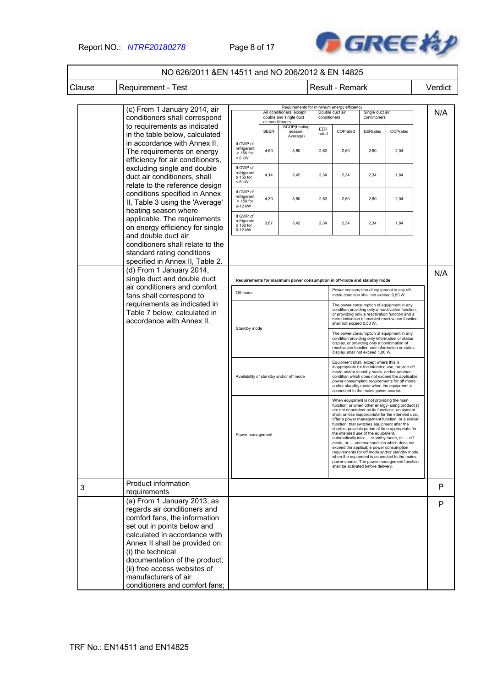### Report NO.: *NTRF20180278* Page 8 of 17



|        | NO 626/2011 & EN 14511 and NO 206/2012 & EN 14825                                                                                                                                                                                                                                                                                              |                                                        |                                                                                                                                                                                                                                                                                                                                                                       |                                                                         |                                                                                                                                                                                                                                    |                                                                                                                                                                                                                                    |                                                                                                                                                                                                                 |                                                                                                                                                                                                                                                                                                                                                                                                                                                                                                              |         |
|--------|------------------------------------------------------------------------------------------------------------------------------------------------------------------------------------------------------------------------------------------------------------------------------------------------------------------------------------------------|--------------------------------------------------------|-----------------------------------------------------------------------------------------------------------------------------------------------------------------------------------------------------------------------------------------------------------------------------------------------------------------------------------------------------------------------|-------------------------------------------------------------------------|------------------------------------------------------------------------------------------------------------------------------------------------------------------------------------------------------------------------------------|------------------------------------------------------------------------------------------------------------------------------------------------------------------------------------------------------------------------------------|-----------------------------------------------------------------------------------------------------------------------------------------------------------------------------------------------------------------|--------------------------------------------------------------------------------------------------------------------------------------------------------------------------------------------------------------------------------------------------------------------------------------------------------------------------------------------------------------------------------------------------------------------------------------------------------------------------------------------------------------|---------|
| Clause | Requirement - Test                                                                                                                                                                                                                                                                                                                             |                                                        |                                                                                                                                                                                                                                                                                                                                                                       |                                                                         |                                                                                                                                                                                                                                    | Result - Remark                                                                                                                                                                                                                    |                                                                                                                                                                                                                 |                                                                                                                                                                                                                                                                                                                                                                                                                                                                                                              | Verdict |
|        | (c) From 1 January 2014, air<br>conditioners shall correspond                                                                                                                                                                                                                                                                                  |                                                        | air conditioners                                                                                                                                                                                                                                                                                                                                                      | Air conditioners, except<br>double and single duct                      | conditioners                                                                                                                                                                                                                       | Requirements for minimum energy efficiency<br>Double duct air                                                                                                                                                                      | Single duct air<br>conditioners                                                                                                                                                                                 |                                                                                                                                                                                                                                                                                                                                                                                                                                                                                                              | N/A     |
|        | to requirements as indicated<br>in the table below, calculated                                                                                                                                                                                                                                                                                 |                                                        | <b>SEER</b>                                                                                                                                                                                                                                                                                                                                                           | SCOP(heating<br>season:<br>Average)                                     | EER<br>rated                                                                                                                                                                                                                       | COPrated                                                                                                                                                                                                                           | EERrated                                                                                                                                                                                                        | COPrated                                                                                                                                                                                                                                                                                                                                                                                                                                                                                                     |         |
|        | in accordance with Annex II.<br>The requirements on energy<br>efficiency for air conditioners,                                                                                                                                                                                                                                                 | If GWP of<br>refrigerant<br>> 150 for<br>$< 6$ kW      | 4,60                                                                                                                                                                                                                                                                                                                                                                  | 3,80                                                                    | 2,60                                                                                                                                                                                                                               | 2,60                                                                                                                                                                                                                               | 2,60                                                                                                                                                                                                            | 2,04                                                                                                                                                                                                                                                                                                                                                                                                                                                                                                         |         |
|        | excluding single and double<br>duct air conditioners, shall<br>relate to the reference design                                                                                                                                                                                                                                                  | If GWP of<br>refrigerant<br>$\leq 150$ for<br>$< 6$ kW | 4,14                                                                                                                                                                                                                                                                                                                                                                  | 3,42                                                                    | 2,34                                                                                                                                                                                                                               | 2,34                                                                                                                                                                                                                               | 2,34                                                                                                                                                                                                            | 1,84                                                                                                                                                                                                                                                                                                                                                                                                                                                                                                         |         |
|        | conditions specified in Annex<br>II, Table 3 using the 'Average'<br>heating season where                                                                                                                                                                                                                                                       | If GWP of<br>refrigerant<br>$>150$ for<br>6-12 kW      | 4,30                                                                                                                                                                                                                                                                                                                                                                  | 3,80                                                                    | 2,60                                                                                                                                                                                                                               | 2,60                                                                                                                                                                                                                               | 2,60                                                                                                                                                                                                            | 2,04                                                                                                                                                                                                                                                                                                                                                                                                                                                                                                         |         |
|        | applicable. The requirements<br>on energy efficiency for single<br>and double duct air                                                                                                                                                                                                                                                         | If GWP of<br>refrigerant<br>$\leq 150$ for<br>6-12 kW  | 3,87                                                                                                                                                                                                                                                                                                                                                                  | 3,42                                                                    | 2,34                                                                                                                                                                                                                               | 2,34                                                                                                                                                                                                                               | 2,34                                                                                                                                                                                                            | 1,84                                                                                                                                                                                                                                                                                                                                                                                                                                                                                                         |         |
|        | conditioners shall relate to the<br>standard rating conditions<br>specified in Annex II, Table 2.                                                                                                                                                                                                                                              |                                                        |                                                                                                                                                                                                                                                                                                                                                                       |                                                                         |                                                                                                                                                                                                                                    |                                                                                                                                                                                                                                    |                                                                                                                                                                                                                 |                                                                                                                                                                                                                                                                                                                                                                                                                                                                                                              |         |
|        | (d) From 1 January 2014,<br>single duct and double duct                                                                                                                                                                                                                                                                                        |                                                        |                                                                                                                                                                                                                                                                                                                                                                       | Requirements for maximum power consumption in off-mode and standby mode |                                                                                                                                                                                                                                    |                                                                                                                                                                                                                                    |                                                                                                                                                                                                                 |                                                                                                                                                                                                                                                                                                                                                                                                                                                                                                              | N/A     |
|        | air conditioners and comfort<br>fans shall correspond to                                                                                                                                                                                                                                                                                       | Off mode                                               |                                                                                                                                                                                                                                                                                                                                                                       |                                                                         |                                                                                                                                                                                                                                    |                                                                                                                                                                                                                                    | mode condition shall not exceed 0,50 W.                                                                                                                                                                         | Power consumption of equipment in any off-                                                                                                                                                                                                                                                                                                                                                                                                                                                                   |         |
|        | requirements as indicated in<br>Table 7 below, calculated in<br>accordance with Annex II.                                                                                                                                                                                                                                                      |                                                        |                                                                                                                                                                                                                                                                                                                                                                       |                                                                         | The power consumption of equipment in any<br>condition providing only a reactivation function,<br>or providing only a reactivation function and a<br>mere indication of enabled reactivation function,<br>shall not exceed 0,50 W. |                                                                                                                                                                                                                                    |                                                                                                                                                                                                                 |                                                                                                                                                                                                                                                                                                                                                                                                                                                                                                              |         |
|        |                                                                                                                                                                                                                                                                                                                                                | Standby mode                                           |                                                                                                                                                                                                                                                                                                                                                                       |                                                                         |                                                                                                                                                                                                                                    | The power consumption of equipment in any<br>condition providing only information or status<br>display, or providing only a combination of<br>reactivation function and information or status<br>display, shall not exceed 1,00 W. |                                                                                                                                                                                                                 |                                                                                                                                                                                                                                                                                                                                                                                                                                                                                                              |         |
|        |                                                                                                                                                                                                                                                                                                                                                |                                                        | Equipment shall, except where this is<br>inappropriate for the intended use, provide off<br>mode and/or standby mode, and/or another<br>Availability of standby and/or off mode<br>condition which does not exceed the applicable<br>power consumption requirements for off mode<br>and/or standby mode when the equipment is<br>connected to the mains power source. |                                                                         |                                                                                                                                                                                                                                    |                                                                                                                                                                                                                                    |                                                                                                                                                                                                                 |                                                                                                                                                                                                                                                                                                                                                                                                                                                                                                              |         |
|        |                                                                                                                                                                                                                                                                                                                                                | Power management                                       |                                                                                                                                                                                                                                                                                                                                                                       |                                                                         |                                                                                                                                                                                                                                    |                                                                                                                                                                                                                                    | When equipment is not providing the main<br>function, that switches equipment after the<br>the intended use of the equipment,<br>exceed the applicable power consumption<br>shall be activated before delivery. | function, or when other energy- using product(s)<br>are not dependent on its functions, equipment<br>shall, unless inappropriate for the intended use,<br>offer a power management function, or a similar<br>shortest possible period of time appropriate for<br>automatically into: - standby mode, or - off<br>mode, or - another condition which does not<br>requirements for off mode and/or standby mode<br>when the equipment is connected to the mains<br>power source. The power management function |         |
| 3      | Product information<br>requirements                                                                                                                                                                                                                                                                                                            |                                                        |                                                                                                                                                                                                                                                                                                                                                                       |                                                                         |                                                                                                                                                                                                                                    |                                                                                                                                                                                                                                    |                                                                                                                                                                                                                 |                                                                                                                                                                                                                                                                                                                                                                                                                                                                                                              | P       |
|        | (a) From 1 January 2013, as<br>regards air conditioners and<br>comfort fans, the information<br>set out in points below and<br>calculated in accordance with<br>Annex II shall be provided on:<br>(i) the technical<br>documentation of the product;<br>(ii) free access websites of<br>manufacturers of air<br>conditioners and comfort fans; |                                                        |                                                                                                                                                                                                                                                                                                                                                                       |                                                                         |                                                                                                                                                                                                                                    |                                                                                                                                                                                                                                    |                                                                                                                                                                                                                 |                                                                                                                                                                                                                                                                                                                                                                                                                                                                                                              | P       |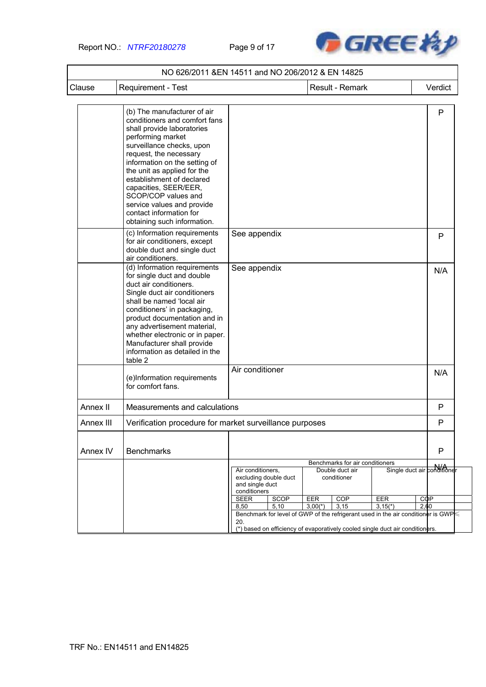Report NO.: *NTRF20180278* Page 9 of 17



| Clause    | Requirement - Test                                                                                                                                                                                                                                                                                                                                                                                          | Result - Remark                                      |                       |            |                                                                   |                                                                                               |                    | Verdict                     |
|-----------|-------------------------------------------------------------------------------------------------------------------------------------------------------------------------------------------------------------------------------------------------------------------------------------------------------------------------------------------------------------------------------------------------------------|------------------------------------------------------|-----------------------|------------|-------------------------------------------------------------------|-----------------------------------------------------------------------------------------------|--------------------|-----------------------------|
|           |                                                                                                                                                                                                                                                                                                                                                                                                             |                                                      |                       |            |                                                                   |                                                                                               |                    |                             |
|           | (b) The manufacturer of air<br>conditioners and comfort fans<br>shall provide laboratories<br>performing market<br>surveillance checks, upon<br>request, the necessary<br>information on the setting of<br>the unit as applied for the<br>establishment of declared<br>capacities, SEER/EER,<br>SCOP/COP values and<br>service values and provide<br>contact information for<br>obtaining such information. |                                                      |                       |            |                                                                   |                                                                                               |                    | P                           |
|           | (c) Information requirements<br>for air conditioners, except<br>double duct and single duct<br>air conditioners.                                                                                                                                                                                                                                                                                            | See appendix                                         |                       |            |                                                                   |                                                                                               |                    | P                           |
|           | (d) Information requirements<br>for single duct and double<br>duct air conditioners.<br>Single duct air conditioners<br>shall be named 'local air<br>conditioners' in packaging,<br>product documentation and in<br>any advertisement material,<br>whether electronic or in paper.<br>Manufacturer shall provide<br>information as detailed in the<br>table 2                                               | See appendix                                         |                       |            |                                                                   |                                                                                               |                    | N/A                         |
|           | (e)Information requirements<br>for comfort fans.                                                                                                                                                                                                                                                                                                                                                            | Air conditioner                                      |                       |            |                                                                   |                                                                                               |                    | N/A                         |
| Annex II  | Measurements and calculations                                                                                                                                                                                                                                                                                                                                                                               |                                                      |                       |            |                                                                   |                                                                                               |                    | P                           |
| Annex III | Verification procedure for market surveillance purposes                                                                                                                                                                                                                                                                                                                                                     |                                                      |                       |            |                                                                   |                                                                                               |                    | P                           |
| Annex IV  | <b>Benchmarks</b>                                                                                                                                                                                                                                                                                                                                                                                           |                                                      |                       |            |                                                                   |                                                                                               |                    | P                           |
|           |                                                                                                                                                                                                                                                                                                                                                                                                             | Air conditioners,<br>and single duct<br>conditioners | excluding double duct |            | Benchmarks for air conditioners<br>Double duct air<br>conditioner |                                                                                               |                    | Single duct air conditioner |
|           |                                                                                                                                                                                                                                                                                                                                                                                                             | <b>SEER</b>                                          | SCOP                  | <b>EER</b> | <b>COP</b>                                                        | <b>EER</b>                                                                                    | <b>COP</b><br>2,60 |                             |
|           |                                                                                                                                                                                                                                                                                                                                                                                                             | 8,50                                                 | 5,10                  | $3,00(*)$  | 3,15                                                              | $3,15(*)$<br>Benchmark for level of GWP of the refrigerant used in the air conditioner is GWP |                    |                             |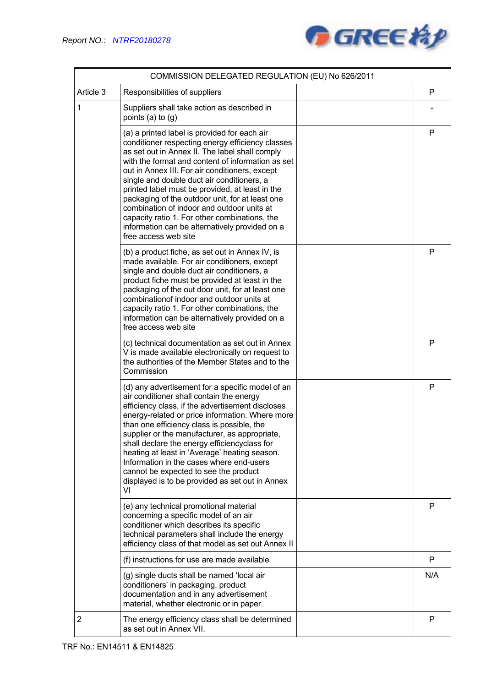

|                | COMMISSION DELEGATED REGULATION (EU) No 626/2011                                                                                                                                                                                                                                                                                                                                                                                                                                                                                                                                       |     |
|----------------|----------------------------------------------------------------------------------------------------------------------------------------------------------------------------------------------------------------------------------------------------------------------------------------------------------------------------------------------------------------------------------------------------------------------------------------------------------------------------------------------------------------------------------------------------------------------------------------|-----|
| Article 3      | Responsibilities of suppliers                                                                                                                                                                                                                                                                                                                                                                                                                                                                                                                                                          | P   |
| 1              | Suppliers shall take action as described in<br>points $(a)$ to $(q)$                                                                                                                                                                                                                                                                                                                                                                                                                                                                                                                   |     |
|                | (a) a printed label is provided for each air<br>conditioner respecting energy efficiency classes<br>as set out in Annex II. The label shall comply<br>with the format and content of information as set<br>out in Annex III. For air conditioners, except<br>single and double duct air conditioners, a<br>printed label must be provided, at least in the<br>packaging of the outdoor unit, for at least one<br>combination of indoor and outdoor units at<br>capacity ratio 1. For other combinations, the<br>information can be alternatively provided on a<br>free access web site | P   |
|                | (b) a product fiche, as set out in Annex IV, is<br>made available. For air conditioners, except<br>single and double duct air conditioners, a<br>product fiche must be provided at least in the<br>packaging of the out door unit, for at least one<br>combination of indoor and outdoor units at<br>capacity ratio 1. For other combinations, the<br>information can be alternatively provided on a<br>free access web site                                                                                                                                                           | P   |
|                | (c) technical documentation as set out in Annex<br>V is made available electronically on request to<br>the authorities of the Member States and to the<br>Commission                                                                                                                                                                                                                                                                                                                                                                                                                   | P   |
|                | (d) any advertisement for a specific model of an<br>air conditioner shall contain the energy<br>efficiency class, if the advertisement discloses<br>energy-related or price information. Where more<br>than one efficiency class is possible, the<br>supplier or the manufacturer, as appropriate,<br>shall declare the energy efficiencyclass for<br>heating at least in 'Average' heating season.<br>Information in the cases where end-users<br>cannot be expected to see the product<br>displayed is to be provided as set out in Annex<br>VI                                      | P   |
|                | (e) any technical promotional material<br>concerning a specific model of an air<br>conditioner which describes its specific<br>technical parameters shall include the energy<br>efficiency class of that model as set out Annex II                                                                                                                                                                                                                                                                                                                                                     | P   |
|                | (f) instructions for use are made available                                                                                                                                                                                                                                                                                                                                                                                                                                                                                                                                            | P   |
|                | (g) single ducts shall be named 'local air<br>conditioners' in packaging, product<br>documentation and in any advertisement<br>material, whether electronic or in paper.                                                                                                                                                                                                                                                                                                                                                                                                               | N/A |
| $\overline{2}$ | The energy efficiency class shall be determined<br>as set out in Annex VII.                                                                                                                                                                                                                                                                                                                                                                                                                                                                                                            | P   |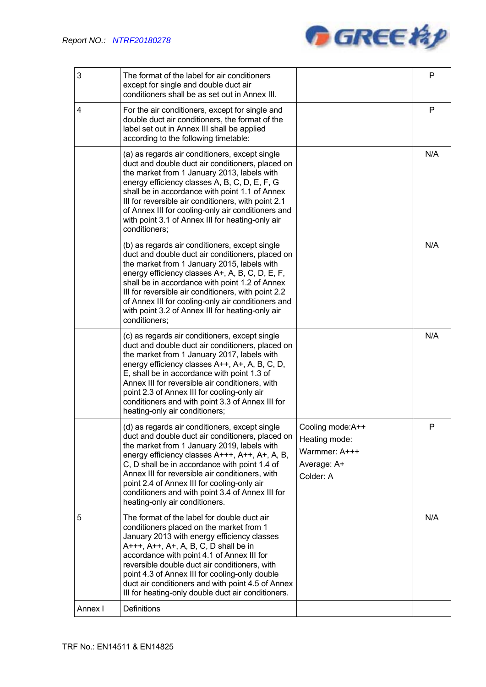

| 3       | The format of the label for air conditioners<br>except for single and double duct air<br>conditioners shall be as set out in Annex III.                                                                                                                                                                                                                                                                                                      |                                                                                | P   |
|---------|----------------------------------------------------------------------------------------------------------------------------------------------------------------------------------------------------------------------------------------------------------------------------------------------------------------------------------------------------------------------------------------------------------------------------------------------|--------------------------------------------------------------------------------|-----|
| 4       | For the air conditioners, except for single and<br>double duct air conditioners, the format of the<br>label set out in Annex III shall be applied<br>according to the following timetable:                                                                                                                                                                                                                                                   |                                                                                | P   |
|         | (a) as regards air conditioners, except single<br>duct and double duct air conditioners, placed on<br>the market from 1 January 2013, labels with<br>energy efficiency classes A, B, C, D, E, F, G<br>shall be in accordance with point 1.1 of Annex<br>III for reversible air conditioners, with point 2.1<br>of Annex III for cooling-only air conditioners and<br>with point 3.1 of Annex III for heating-only air<br>conditioners;       |                                                                                | N/A |
|         | (b) as regards air conditioners, except single<br>duct and double duct air conditioners, placed on<br>the market from 1 January 2015, labels with<br>energy efficiency classes A+, A, B, C, D, E, F,<br>shall be in accordance with point 1.2 of Annex<br>III for reversible air conditioners, with point 2.2<br>of Annex III for cooling-only air conditioners and<br>with point 3.2 of Annex III for heating-only air<br>conditioners;     |                                                                                | N/A |
|         | (c) as regards air conditioners, except single<br>duct and double duct air conditioners, placed on<br>the market from 1 January 2017, labels with<br>energy efficiency classes A++, A+, A, B, C, D,<br>E, shall be in accordance with point 1.3 of<br>Annex III for reversible air conditioners, with<br>point 2.3 of Annex III for cooling-only air<br>conditioners and with point 3.3 of Annex III for<br>heating-only air conditioners;   |                                                                                | N/A |
|         | (d) as regards air conditioners, except single<br>duct and double duct air conditioners, placed on<br>the market from 1 January 2019, labels with<br>energy efficiency classes A+++, A++, A+, A, B,<br>C, D shall be in accordance with point 1.4 of<br>Annex III for reversible air conditioners, with<br>point 2.4 of Annex III for cooling-only air<br>conditioners and with point 3.4 of Annex III for<br>heating-only air conditioners. | Cooling mode:A++<br>Heating mode:<br>Warmmer: A+++<br>Average: A+<br>Colder: A | P   |
| 5       | The format of the label for double duct air<br>conditioners placed on the market from 1<br>January 2013 with energy efficiency classes<br>A+++, A++, A+, A, B, C, D shall be in<br>accordance with point 4.1 of Annex III for<br>reversible double duct air conditioners, with<br>point 4.3 of Annex III for cooling-only double<br>duct air conditioners and with point 4.5 of Annex<br>III for heating-only double duct air conditioners.  |                                                                                | N/A |
| Annex I | Definitions                                                                                                                                                                                                                                                                                                                                                                                                                                  |                                                                                |     |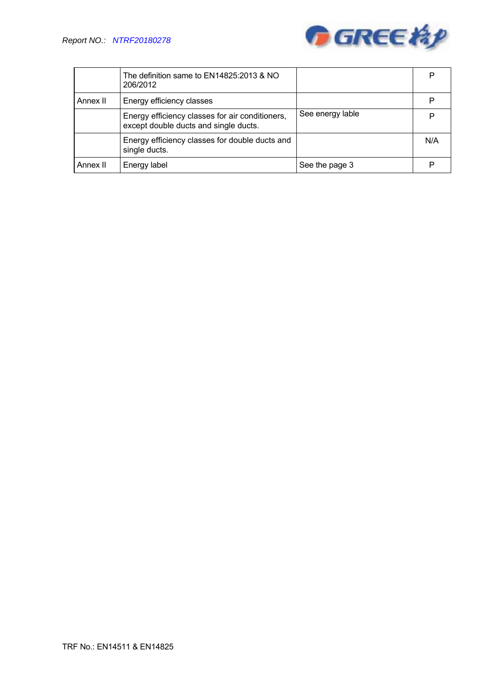

|          | The definition same to EN14825:2013 & NO<br>206/2012                                     |                  | P   |
|----------|------------------------------------------------------------------------------------------|------------------|-----|
| Annex II | Energy efficiency classes                                                                |                  | P   |
|          | Energy efficiency classes for air conditioners,<br>except double ducts and single ducts. | See energy lable | P   |
|          | Energy efficiency classes for double ducts and<br>single ducts.                          |                  | N/A |
| Annex II | Energy label                                                                             | See the page 3   | P   |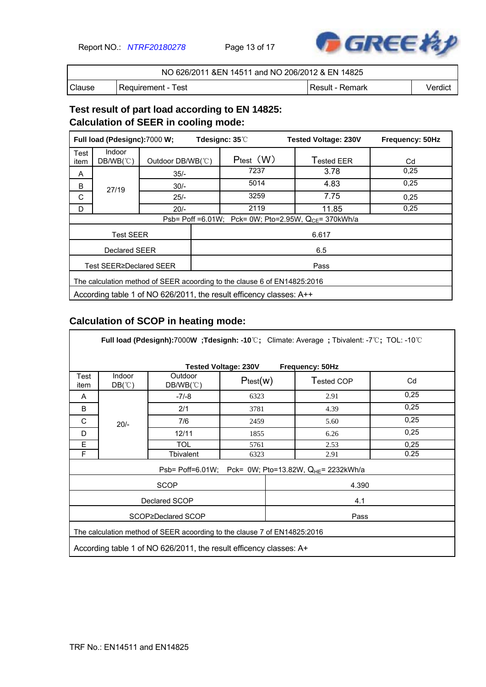Report NO.: *NTRF20180278* Page 13 of 17



| NO 626/2011 & EN 14511 and NO 206/2012 & EN 14825 |                      |                   |         |  |
|---------------------------------------------------|----------------------|-------------------|---------|--|
| Clause                                            | l Requirement - Test | ' Result - Remark | Verdict |  |

### **Test result of part load according to EN 14825: Calculation of SEER in cooling mode:**

| Full load (Pdesignc):7000 W; |                                                                          |                   |       | Tdesignc: $35^\circ\!\text{C}$ | <b>Tested Voltage: 230V</b>                               | Frequency: 50Hz |  |  |
|------------------------------|--------------------------------------------------------------------------|-------------------|-------|--------------------------------|-----------------------------------------------------------|-----------------|--|--|
| Test<br>item                 | <b>Indoor</b><br>$DB/WB(^{\circ}\mathrm{C})$                             | Outdoor DB/WB(°C) |       | $P_{test}$ $(W)$               | Tested EER                                                | Cd              |  |  |
| A                            |                                                                          | $35/-$            |       | 7237                           | 3.78                                                      | 0.25            |  |  |
| B                            | 27/19                                                                    | $30/-$            |       | 5014                           | 4.83                                                      | 0,25            |  |  |
| C                            |                                                                          | $25/-$            |       | 3259                           | 7.75                                                      | 0,25            |  |  |
| D                            |                                                                          | $20/-$            |       | 2119                           | 11.85                                                     | 0.25            |  |  |
|                              |                                                                          |                   |       |                                | Psb= Poff =6.01W; Pck= 0W; Pto=2.95W, $Q_{CF}$ = 370kWh/a |                 |  |  |
|                              | <b>Test SEER</b>                                                         |                   | 6.617 |                                |                                                           |                 |  |  |
|                              | Declared SEER                                                            |                   |       |                                | 6.5                                                       |                 |  |  |
|                              | Test SEER≥Declared SEER                                                  |                   |       |                                | Pass                                                      |                 |  |  |
|                              | The calculation method of SEER acoording to the clause 6 of EN14825:2016 |                   |       |                                |                                                           |                 |  |  |
|                              | According table 1 of NO 626/2011, the result efficency classes: A++      |                   |       |                                |                                                           |                 |  |  |

# **Calculation of SCOP in heating mode:**

|              | Full load (Pdesignh):7000W; Tdesignh: -10°C; Climate: Average; Tbivalent: -7°C; TOL: -10°C |                                        |          |                                                                   |      |  |  |  |  |  |  |
|--------------|--------------------------------------------------------------------------------------------|----------------------------------------|----------|-------------------------------------------------------------------|------|--|--|--|--|--|--|
|              | <b>Tested Voltage: 230V</b><br>Frequency: 50Hz                                             |                                        |          |                                                                   |      |  |  |  |  |  |  |
| Test<br>item | Indoor<br>$DB(^\circ\mathbb{C})$                                                           | Outdoor<br>$DB/WB(^{\circ}\mathrm{C})$ | Ptest(w) | Tested COP                                                        | Cd   |  |  |  |  |  |  |
| A            |                                                                                            | $-7/-8$                                | 6323     | 2.91                                                              | 0,25 |  |  |  |  |  |  |
| B            |                                                                                            | 2/1                                    | 3781     | 4.39                                                              | 0,25 |  |  |  |  |  |  |
| C            | $20/-$                                                                                     | 7/6                                    | 2459     | 5.60                                                              | 0,25 |  |  |  |  |  |  |
| D            |                                                                                            | 12/11                                  | 1855     | 6.26                                                              | 0,25 |  |  |  |  |  |  |
| E            |                                                                                            | <b>TOL</b>                             | 5761     | 2.53                                                              | 0,25 |  |  |  |  |  |  |
| F            |                                                                                            | Tbivalent                              | 6323     | 2.91                                                              | 0.25 |  |  |  |  |  |  |
|              |                                                                                            |                                        |          | Psb= Poff=6.01W; Pck= 0W; Pto=13.82W, Q <sub>HE</sub> = 2232kWh/a |      |  |  |  |  |  |  |
|              |                                                                                            | <b>SCOP</b>                            |          | 4.390                                                             |      |  |  |  |  |  |  |
|              |                                                                                            | Declared SCOP                          |          | 4.1                                                               |      |  |  |  |  |  |  |
|              |                                                                                            | SCOP≥Declared SCOP                     |          | Pass                                                              |      |  |  |  |  |  |  |
|              | The calculation method of SEER acoording to the clause 7 of EN14825:2016                   |                                        |          |                                                                   |      |  |  |  |  |  |  |
|              | According table 1 of NO 626/2011, the result efficency classes: A+                         |                                        |          |                                                                   |      |  |  |  |  |  |  |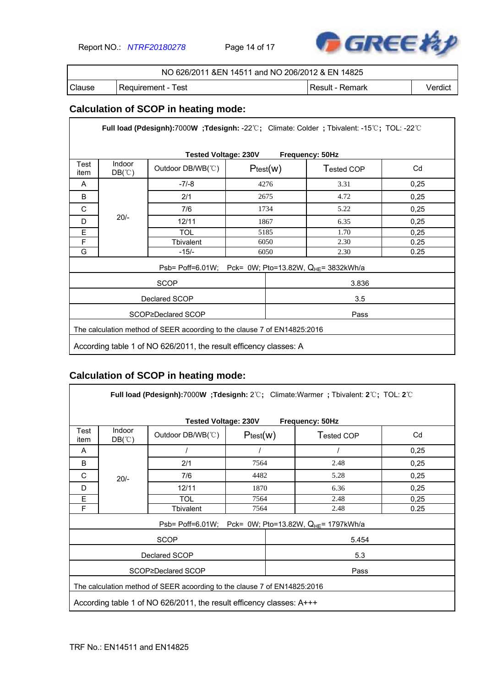Report NO.: *NTRF20180278* Page 14 of 17



|        | NO 626/2011 & EN 14511 and NO 206/2012 & EN 14825 |                   |         |
|--------|---------------------------------------------------|-------------------|---------|
| Clause | l Requirement - Test                              | l Result - Remark | Verdict |

# **Calculation of SCOP in heating mode:**

| Full load (Pdesignh):7000W;Tdesignh: -22℃; Climate: Colder; Tbivalent: -15℃; TOL: -22℃ |                                  |                                                                          |                                                            |            |      |  |  |  |  |  |
|----------------------------------------------------------------------------------------|----------------------------------|--------------------------------------------------------------------------|------------------------------------------------------------|------------|------|--|--|--|--|--|
| <b>Tested Voltage: 230V</b><br>Frequency: 50Hz                                         |                                  |                                                                          |                                                            |            |      |  |  |  |  |  |
| Test<br>item                                                                           | Indoor<br>$DB(^\circ\mathbb{C})$ | Outdoor DB/WB(°C)                                                        | Ptest(w)                                                   | Tested COP | Cd   |  |  |  |  |  |
| A                                                                                      |                                  | $-7/-8$                                                                  | 4276                                                       | 3.31       | 0,25 |  |  |  |  |  |
| B                                                                                      |                                  | 2/1                                                                      | 2675                                                       | 4.72       | 0,25 |  |  |  |  |  |
| C                                                                                      |                                  | 7/6                                                                      | 1734                                                       | 5.22       | 0,25 |  |  |  |  |  |
| D                                                                                      | $20/-$                           | 12/11                                                                    | 1867                                                       | 6.35       | 0,25 |  |  |  |  |  |
| E                                                                                      |                                  | TOL                                                                      | 5185                                                       | 1.70       | 0,25 |  |  |  |  |  |
| F                                                                                      |                                  | Tbivalent                                                                | 6050                                                       | 2.30       | 0.25 |  |  |  |  |  |
| G                                                                                      |                                  | $-15/-$                                                                  | 6050                                                       | 2.30       | 0.25 |  |  |  |  |  |
|                                                                                        |                                  |                                                                          | Psb= Poff=6.01W; Pck= 0W; Pto=13.82W, $Q_{HE}$ = 3832kWh/a |            |      |  |  |  |  |  |
|                                                                                        |                                  | <b>SCOP</b>                                                              |                                                            | 3.836      |      |  |  |  |  |  |
|                                                                                        |                                  | Declared SCOP                                                            |                                                            | 3.5        |      |  |  |  |  |  |
|                                                                                        |                                  | SCOP≥Declared SCOP                                                       |                                                            | Pass       |      |  |  |  |  |  |
|                                                                                        |                                  | The calculation method of SEER acoording to the clause 7 of EN14825:2016 |                                                            |            |      |  |  |  |  |  |
|                                                                                        |                                  | According table 1 of NO 626/2011, the result efficency classes: A        |                                                            |            |      |  |  |  |  |  |

# **Calculation of SCOP in heating mode:**

|                                                | Full load (Pdesignh):7000W; Tdesignh: $2^{\circ}\text{C}$ ; Climate: Warmer; Tbivalent: $2^{\circ}\text{C}$ ; TOL: $2^{\circ}\text{C}$           |                    |          |                                                                   |      |  |  |  |  |  |
|------------------------------------------------|--------------------------------------------------------------------------------------------------------------------------------------------------|--------------------|----------|-------------------------------------------------------------------|------|--|--|--|--|--|
| <b>Tested Voltage: 230V</b><br>Frequency: 50Hz |                                                                                                                                                  |                    |          |                                                                   |      |  |  |  |  |  |
| Test<br>item                                   | Indoor<br>$DB(^\circ\mathbb{C})$                                                                                                                 | Outdoor DB/WB(°C)  | Ptest(w) | Tested COP                                                        | Cd   |  |  |  |  |  |
| A                                              |                                                                                                                                                  |                    |          |                                                                   | 0,25 |  |  |  |  |  |
| B                                              |                                                                                                                                                  | 2/1                | 7564     | 2.48                                                              | 0,25 |  |  |  |  |  |
| C                                              | $20/-$                                                                                                                                           | 7/6                | 4482     | 5.28                                                              | 0,25 |  |  |  |  |  |
| D                                              |                                                                                                                                                  | 12/11              | 1870     | 6.36                                                              | 0,25 |  |  |  |  |  |
| E                                              |                                                                                                                                                  | TOL                | 7564     | 2.48                                                              | 0,25 |  |  |  |  |  |
| F                                              |                                                                                                                                                  | <b>Tbivalent</b>   | 7564     | 2.48                                                              | 0.25 |  |  |  |  |  |
|                                                |                                                                                                                                                  |                    |          | Psb= Poff=6.01W; Pck= 0W; Pto=13.82W, Q <sub>HE</sub> = 1797kWh/a |      |  |  |  |  |  |
|                                                |                                                                                                                                                  | <b>SCOP</b>        |          | 5.454                                                             |      |  |  |  |  |  |
|                                                |                                                                                                                                                  | Declared SCOP      |          | 5.3                                                               |      |  |  |  |  |  |
|                                                |                                                                                                                                                  | SCOP≥Declared SCOP |          | Pass                                                              |      |  |  |  |  |  |
|                                                |                                                                                                                                                  |                    |          |                                                                   |      |  |  |  |  |  |
|                                                | The calculation method of SEER acoording to the clause 7 of EN14825:2016<br>According table 1 of NO 626/2011, the result efficency classes: A+++ |                    |          |                                                                   |      |  |  |  |  |  |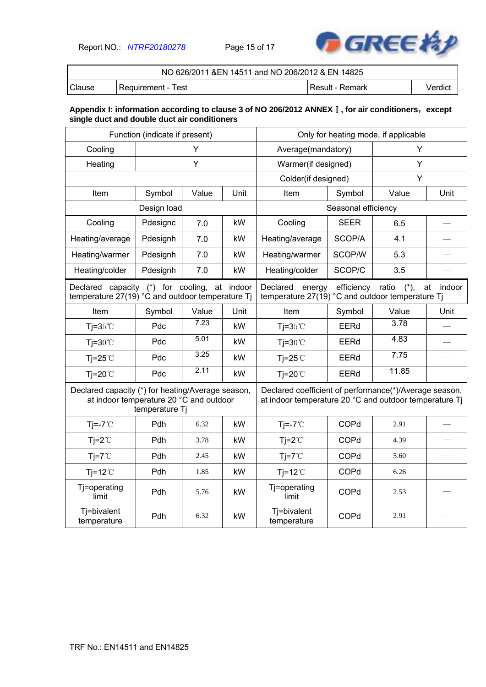Report NO.: *NTRF20180278* Page 15 of 17



| NO 626/2011 & EN 14511 and NO 206/2012 & EN 14825 |                      |                   |         |  |  |
|---------------------------------------------------|----------------------|-------------------|---------|--|--|
| Clause                                            | l Reauirement - Test | l Result - Remark | Verdict |  |  |

#### **Appendix I: information according to clause 3 of NO 206/2012 ANNEX**Ⅰ**, for air conditioners**,**except single duct and double duct air conditioners**

| Function (indicate if present)                                                                      |                |       |                                                                        | Only for heating mode, if applicable                                                                             |                         |              |      |
|-----------------------------------------------------------------------------------------------------|----------------|-------|------------------------------------------------------------------------|------------------------------------------------------------------------------------------------------------------|-------------------------|--------------|------|
| Cooling                                                                                             | Y              |       |                                                                        | Average(mandatory)                                                                                               |                         | Y            |      |
| Heating                                                                                             |                | Y     |                                                                        | Warmer(if designed)                                                                                              |                         | Y            |      |
|                                                                                                     |                |       |                                                                        | Colder(if designed)                                                                                              |                         | Y            |      |
| Item                                                                                                | Symbol         | Value | Unit                                                                   | Item                                                                                                             | Symbol                  | Value        | Unit |
|                                                                                                     | Design load    |       |                                                                        |                                                                                                                  | Seasonal efficiency     |              |      |
| Cooling                                                                                             | Pdesignc       | 7.0   | kW                                                                     | Cooling                                                                                                          | <b>SEER</b>             | 6.5          |      |
| Heating/average                                                                                     | Pdesignh       | 7.0   | kW                                                                     | Heating/average                                                                                                  | SCOP/A                  | 4.1          |      |
| Heating/warmer                                                                                      | Pdesignh       | 7.0   | kW                                                                     | Heating/warmer                                                                                                   | SCOP/W                  | 5.3          |      |
| Heating/colder                                                                                      | Pdesignh       | 7.0   | kW                                                                     | Heating/colder                                                                                                   | SCOP/C                  | 3.5          |      |
| Declared capacity (*) for cooling,<br>at indoor<br>temperature 27(19) °C and outdoor temperature Tj |                |       | Declared<br>energy<br>temperature 27(19) °C and outdoor temperature Tj | efficiency                                                                                                       | ratio<br>$({}^{\ast}).$ | at<br>indoor |      |
| Item                                                                                                | Symbol         | Value | Unit                                                                   | Item                                                                                                             | Symbol                  | Value        | Unit |
| Tj= $35^{\circ}$ C                                                                                  | Pdc            | 7.23  | kW                                                                     | Tj= $35^{\circ}$ C                                                                                               | <b>EERd</b>             | 3.78         |      |
| $Ti=30^{\circ}C$                                                                                    | Pdc            | 5.01  | kW                                                                     | $Ti=30^{\circ}C$                                                                                                 | <b>EERd</b>             | 4.83         |      |
| Tj=25 $°C$                                                                                          | Pdc            | 3.25  | kW                                                                     | Tj=25 $°C$                                                                                                       | <b>EERd</b>             | 7.75         |      |
| $Ti=20^{\circ}$                                                                                     | Pdc            | 2.11  | kW                                                                     | $Ti=20^{\circ}$                                                                                                  | <b>EERd</b>             | 11.85        |      |
| Declared capacity (*) for heating/Average season,<br>at indoor temperature 20 °C and outdoor        | temperature Tj |       |                                                                        | Declared coefficient of performance(*)/Average season,<br>at indoor temperature 20 °C and outdoor temperature Tj |                         |              |      |
| $Tj = -7^{\circ}C$                                                                                  | Pdh            | 6.32  | kW                                                                     | $Tj = -7^{\circ}C$                                                                                               | COPd                    | 2.91         |      |
| $Tj = 2^{\circ}C$                                                                                   | Pdh            | 3.78  | kW                                                                     | $Ti=2^{\circ}C$                                                                                                  | COPd                    | 4.39         |      |
| $Ti=7^{\circ}C$                                                                                     | Pdh            | 2.45  | kW                                                                     | $Ti=7^{\circ}C$                                                                                                  | COPd                    | 5.60         |      |
| $Tj=12^{\circ}C$                                                                                    | Pdh            | 1.85  | kW                                                                     | $Tj=12^{\circ}C$                                                                                                 | COPd                    | 6.26         |      |
| Tj=operating<br>limit                                                                               | Pdh            | 5.76  | kW                                                                     | Tj=operating<br>limit                                                                                            | COPd                    | 2.53         |      |
| Tj=bivalent<br>temperature                                                                          | Pdh            | 6.32  | kW                                                                     | Tj=bivalent<br>temperature                                                                                       | COPd                    | 2.91         |      |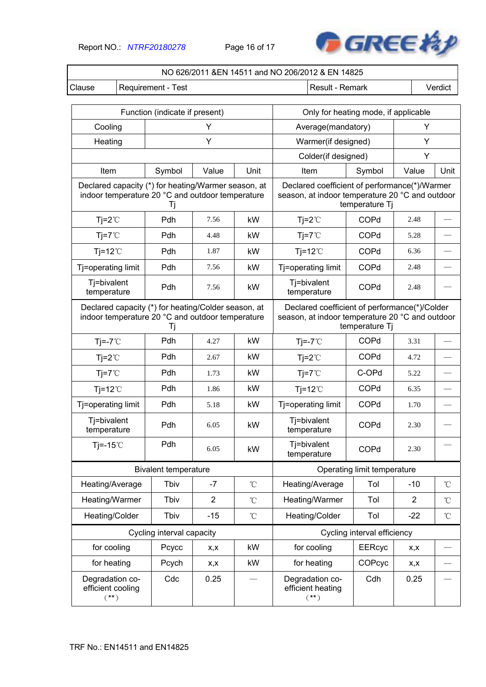Report NO.: *NTRF20180278* Page 16 of 17



|                                                | NO 626/2011 &EN 14511 and NO 206/2012 & EN 14825                                                              |                                                               |                |                                                                                                                    |                                                                                                  |                             |                |                 |
|------------------------------------------------|---------------------------------------------------------------------------------------------------------------|---------------------------------------------------------------|----------------|--------------------------------------------------------------------------------------------------------------------|--------------------------------------------------------------------------------------------------|-----------------------------|----------------|-----------------|
| Clause                                         | Requirement - Test<br>Result - Remark<br>Verdict                                                              |                                                               |                |                                                                                                                    |                                                                                                  |                             |                |                 |
|                                                |                                                                                                               |                                                               |                |                                                                                                                    |                                                                                                  |                             |                |                 |
|                                                |                                                                                                               | Function (indicate if present)                                |                |                                                                                                                    | Only for heating mode, if applicable                                                             |                             |                |                 |
| Cooling                                        |                                                                                                               |                                                               | Y              |                                                                                                                    | Average(mandatory)                                                                               |                             | Y              |                 |
| Heating                                        |                                                                                                               |                                                               | Y              |                                                                                                                    | Warmer(if designed)                                                                              |                             | Υ              |                 |
|                                                |                                                                                                               |                                                               |                |                                                                                                                    | Colder(if designed)                                                                              |                             | Y              |                 |
| Item                                           |                                                                                                               | Symbol<br>Declared capacity (*) for heating/Warmer season, at | Value          | Unit                                                                                                               | Item                                                                                             | Symbol                      | Value          | Unit            |
|                                                |                                                                                                               | indoor temperature 20 °C and outdoor temperature<br>Τj        |                |                                                                                                                    | Declared coefficient of performance(*)/Warmer<br>season, at indoor temperature 20 °C and outdoor | temperature Tj              |                |                 |
| $Tj = 2^{\circ}C$                              |                                                                                                               | Pdh                                                           | 7.56           | kW                                                                                                                 | $Tj=2^{\circ}C$                                                                                  | COPd                        | 2.48           |                 |
| $Ti=7^{\circ}C$                                |                                                                                                               | Pdh                                                           | 4.48           | kW                                                                                                                 | $Tj=7^{\circ}C$                                                                                  | COPd                        | 5.28           |                 |
| $Ti=12^{\circ}C$                               |                                                                                                               | Pdh                                                           | 1.87           | kW                                                                                                                 | $Ti=12^{\circ}C$                                                                                 | COPd                        | 6.36           |                 |
| Tj=operating limit                             |                                                                                                               | Pdh                                                           | 7.56           | kW                                                                                                                 | Tj=operating limit                                                                               | COPd                        | 2.48           |                 |
| Tj=bivalent<br>temperature                     |                                                                                                               | Pdh                                                           | 7.56           | kW                                                                                                                 | Tj=bivalent<br>temperature                                                                       | COPd                        | 2.48           |                 |
|                                                | Declared capacity (*) for heating/Colder season, at<br>indoor temperature 20 °C and outdoor temperature<br>Tj |                                                               |                | Declared coefficient of performance(*)/Colder<br>season, at indoor temperature 20 °C and outdoor<br>temperature Tj |                                                                                                  |                             |                |                 |
| $Tj = -7^{\circ}C$                             |                                                                                                               | Pdh                                                           | 4.27           | kW                                                                                                                 | $Tj = -7^{\circ}C$                                                                               | COPd                        | 3.31           |                 |
| $Tj=2^{\circ}C$                                |                                                                                                               | Pdh                                                           | 2.67           | kW                                                                                                                 | $Tj=2^{\circ}C$                                                                                  | COPd                        | 4.72           |                 |
| $Tj=7^{\circ}C$                                |                                                                                                               | Pdh                                                           | 1.73           | kW                                                                                                                 | $Tj=7^{\circ}C$                                                                                  | C-OPd                       | 5.22           |                 |
| $Tj=12^{\circ}C$                               |                                                                                                               | Pdh                                                           | 1.86           | kW                                                                                                                 | $Tj=12^{\circ}C$                                                                                 | COPd                        | 6.35           |                 |
| Tj=operating limit                             |                                                                                                               | Pdh                                                           | 5.18           | kW                                                                                                                 | Tj=operating limit                                                                               | COPd                        | 1.70           |                 |
| Tj=bivalent<br>temperature                     |                                                                                                               | Pdh                                                           | 6.05           | kW                                                                                                                 | Tj=bivalent<br>temperature                                                                       | COPd                        | 2.30           |                 |
| Tj = $-15^{\circ}$ C                           |                                                                                                               | Pdh                                                           | 6.05           | kW                                                                                                                 | Tj=bivalent<br>temperature                                                                       | COPd                        | 2.30           |                 |
|                                                |                                                                                                               | <b>Bivalent temperature</b>                                   |                |                                                                                                                    |                                                                                                  | Operating limit temperature |                |                 |
| Heating/Average                                |                                                                                                               | Tbiv                                                          | $-7$           | $^\circ\!{\rm C}$                                                                                                  | Heating/Average                                                                                  | Tol                         | $-10$          | $^{\circ}$ C    |
| Heating/Warmer                                 |                                                                                                               | Tbiv                                                          | $\overline{2}$ | $^{\circ}\!{\rm C}$                                                                                                | Heating/Warmer                                                                                   | Tol                         | $\overline{2}$ | $\rm ^{\circ}C$ |
| Heating/Colder                                 |                                                                                                               | Tbiv                                                          | $-15$          | $^\circ\!{\rm C}$                                                                                                  | Heating/Colder                                                                                   | Tol                         | $-22$          | $^{\circ}$ C    |
|                                                |                                                                                                               | Cycling interval capacity                                     |                |                                                                                                                    |                                                                                                  | Cycling interval efficiency |                |                 |
| for cooling                                    |                                                                                                               | Pcycc                                                         | X,X            | kW                                                                                                                 | for cooling                                                                                      | <b>EERcyc</b>               | x,x            |                 |
| for heating                                    |                                                                                                               | Pcych                                                         | x,x            | kW                                                                                                                 | for heating                                                                                      | COPcyc                      | X,X            |                 |
| Degradation co-<br>efficient cooling<br>$(**)$ |                                                                                                               | Cdc                                                           | 0.25           |                                                                                                                    | Degradation co-<br>efficient heating<br>$(**)$                                                   | Cdh                         | 0.25           |                 |